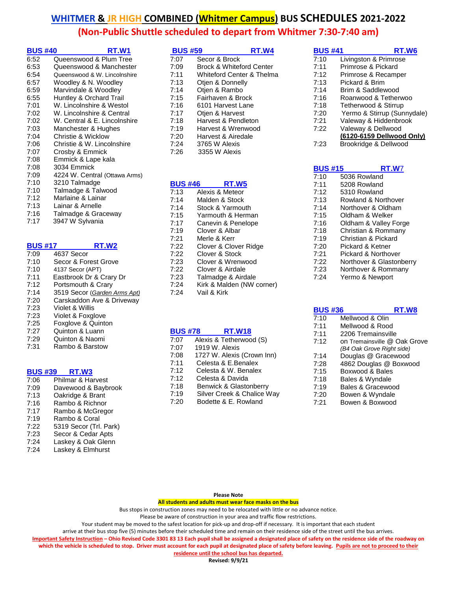| <b>BUS #40</b> | RT.W1                         |
|----------------|-------------------------------|
| 6:52           | Queenswood & Plum Tree        |
| 6:53           | Queenswood & Manchester       |
| 6:54           | Queenswood & W. Lincolnshire  |
| 6:57           | Woodley & N. Woodley          |
| 6:59           | Marvindale & Woodley          |
| 6:55           | Huntley & Orchard Trail       |
| 7:01           | W. Lincolnshire & Westol      |
| 7:02           | W. Lincolnshire & Central     |
| 7:02           | W. Central & E. Lincolnshire  |
| 7:03           | Manchester & Hughes           |
| 7:04           | Christie & Wicklow            |
| 7:06           | Christie & W. Lincolnshire    |
| 7:07           | Crosby & Emmick               |
| 7:08           | Emmick & Lape kala            |
| 7:08           | 3034 Emmick                   |
| 7:09           | 4224 W. Central (Ottawa Arms) |
| 7:10           | 3210 Talmadge                 |
| 7:10           | Talmadge & Talwood            |
| 7:12           | Marlaine & Lainar             |
| 7:13           | Lainar & Arnelle              |
| 7:16           | Talmadge & Graceway           |
| 7:17           | 3947 W Sylvania               |

| <b>BUS #17</b> | RT.W2                        |
|----------------|------------------------------|
| 7:09           | 4637 Secor                   |
| 7:10           | Secor & Forest Grove         |
| 7:10           | 4137 Secor (APT)             |
| 7:11           | Eastbrook Dr & Crary Dr      |
| 7:12           | Portsmouth & Crary           |
| 7:14           | 3519 Secor (Garden Arms Apt) |
| 7:20           | Carskaddon Ave & Driveway    |
| 7:23           | Violet & Willis              |
| 7:23           | Violet & Foxglove            |
| 7:25           | Foxglove & Quinton           |
| 7:27           | Quinton & Luann              |
| 7:29           | Quinton & Naomi              |
| 7:31           | Rambo & Barstow              |

## **BUS #39 RT.W3**

| Philmar & Harvest      |
|------------------------|
| Davewood & Baybrook    |
| Oakridge & Brant       |
| Rambo & Richnor        |
| Rambo & McGregor       |
| Rambo & Coral          |
| 5319 Secor (Trl. Park) |
| Secor & Cedar Apts     |
| Laskey & Oak Glenn     |
| Laskey & Elmhurst      |
|                        |

| <b>BUS #59</b> | RT.W4                               |
|----------------|-------------------------------------|
| 7:07           | Secor & Brock                       |
| 7:09           | <b>Brock &amp; Whiteford Center</b> |
| 7:11           | Whiteford Center & Thelma           |
| 7:13           | Otien & Donnelly                    |
| 7:14           | Otien & Rambo                       |
| 7:15           | Fairhaven & Brock                   |
| 7:16           | 6101 Harvest Lane                   |
| 7:17           | Otjen & Harvest                     |
| 7:18           | Harvest & Pendleton                 |
| 7:19           | Harvest & Wrenwood                  |
| 7:20           | Harvest & Airedale                  |
| 7:24           | 3765 W Alexis                       |
| 7:26           | 3355 W Alexis                       |

#### **BUS #46 RT.W5** 7:13 Alexis & Meteor

| .    | ULCVIO O INCICOI          |
|------|---------------------------|
| 7:14 | Malden & Stock            |
| 7:14 | Stock & Yarmouth          |
| 7:15 | Yarmouth & Herman         |
| 7:17 | Canevin & Penelope        |
| 7:19 | Clover & Albar            |
| 7:21 | Merle & Kerr              |
| 7:22 | Clover & Clover Ridge     |
| 7:22 | Clover & Stock            |
| 7:23 | Clover & Wrenwood         |
| 7:22 | Clover & Airdale          |
| 7:23 | Talmadge & Airdale        |
| 7:24 | Kirk & Malden (NW corner) |
| 7:24 | Vail & Kirk               |

## **BUS #78 RT.W18**

| 7:07 | Alexis & Tetherwood (S)    |
|------|----------------------------|
| 7:07 | 1919 W. Alexis             |
| 7:08 | 1727 W. Alexis (Crown Inn) |
| 7:11 | Celesta & E.Benalex        |
| 7:12 | Celesta & W. Benalex       |
| 7:12 | Celesta & Davida           |
| 7:18 | Benwick & Glastonberry     |
| 7:19 | Silver Creek & Chalice Way |
| 7:20 | Bodette & E. Rowland       |

| BUS #41 | RT.W6                       |
|---------|-----------------------------|
|         |                             |
| 7:10    | Livingston & Primrose       |
| 7:11    | Primrose & Pickard          |
| 7:12    | Primrose & Recamper         |
| 7:13    | Pickard & Brim              |
| 7:14    | Brim & Saddlewood           |
| 7:16    | Roanwood & Tetherwoo        |
| 7:18    | Tetherwood & Stirrup        |
| 7:20    | Yermo & Stirrup (Sunnydale) |
| 7:21    | Valeway & Hiddenbrook       |
| 7.22    | Valeway & Dellwood          |
|         | (6120-6159 Dellwood Only)   |
| 7:23    | Brookridge & Dellwood       |
|         |                             |
|         |                             |

| <b>BUS #15</b> | RT.W7                    |
|----------------|--------------------------|
| 7:10           | 5036 Rowland             |
| 7:11           | 5208 Rowland             |
| 7:12           | 5310 Rowland             |
| 7:13           | Rowland & Northover      |
| 7:14           | Northover & Oldham       |
| 7:15           | Oldham & Welker          |
| 7:16           | Oldham & Valley Forge    |
| 7:18           | Christian & Rommany      |
| 7:19           | Christian & Pickard      |
| 7:20           | Pickard & Ketner         |
| 7:21           | Pickard & Northover      |
| 7:22           | Northover & Glastonberry |
| 7:23           | Northover & Rommany      |
| 7:24           | Yermo & Newport          |

| <b>BUS #36</b><br>RT.W8      |
|------------------------------|
| Mellwood & Olin              |
| Mellwood & Rood              |
| 2206 Tremainsville           |
| on Tremainsville @ Oak Grove |
| (B4 Oak Grove Right side)    |
| Douglas @ Gracewood          |
| 4862 Douglas @ Boxwood       |
| Boxwood & Bales              |
| Bales & Wyndale              |
| Bales & Gracewood            |
| Bowen & Wyndale              |
| Bowen & Boxwood              |
|                              |

#### **Please Note**

**All students and adults must wear face masks on the bus**

Bus stops in construction zones may need to be relocated with little or no advance notice.

Please be aware of construction in your area and traffic flow restrictions.

Your student may be moved to the safest location for pick-up and drop-off if necessary. It is important that each student

arrive at their bus stop five (5) minutes before their scheduled time and remain on their residence side of the street until the bus arrives.

**Important Safety Instruction – Ohio Revised Code 3301 83 13 Each pupil shall be assigned a designated place of safety on the residence side of the roadway on**  which the vehicle is scheduled to stop. Driver must account for each pupil at designated place of safety before leaving. Pupils are not to proceed to their

**residence until the school bus has departed.**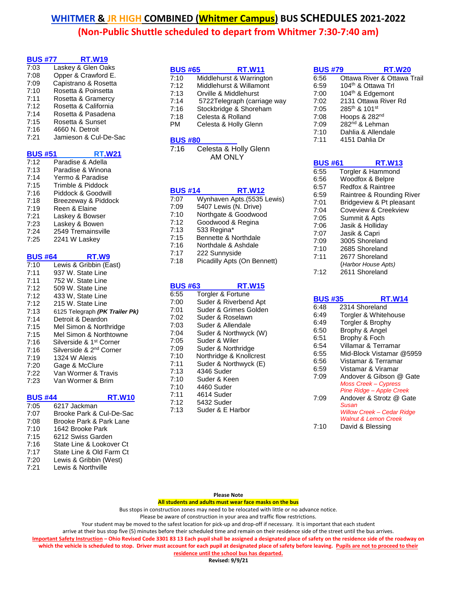| <b>BUS #77</b> | <b>RT.W19</b>         |
|----------------|-----------------------|
| 7:03           | Laskey & Glen Oaks    |
| 7:08           | Opper & Crawford E.   |
| 7:09           | Capistrano & Rosetta  |
| 7:10           | Rosetta & Poinsetta   |
| 7:11           | Rosetta & Gramercy    |
| 7:12           | Rosetta & California  |
| 7:14           | Rosetta & Pasadena    |
| 7:15           | Rosetta & Sunset      |
| 7:16           | 4660 N. Detroit       |
| 7:21           | Jamieson & Cul-De-Sac |
|                |                       |

| <b>BUS #51</b> | <b>RT.W21</b>       |
|----------------|---------------------|
| 7:12           | Paradise & Adella   |
| 7:13           | Paradise & Winona   |
| 7:14           | Yermo & Paradise    |
| 7:15           | Trimble & Piddock   |
| 7:16           | Piddock & Goodwill  |
| 7:18           | Breezeway & Piddock |
| 7:19           | Reen & Elaine       |
| 7:21           | Laskey & Bowser     |
| 7:23           | Laskey & Bowen      |
| 7:24           | 2549 Tremainsville  |
| 7:25           | 2241 W Laskey       |

| <b>BUS #64</b> | RT.W9                               |
|----------------|-------------------------------------|
| 7:10           | Lewis & Gribbin (East)              |
| 7:11           | 937 W. State Line                   |
| 7:11           | 752 W. State Line                   |
| 7:12           | 509 W. State Line                   |
| 7:12           | 433 W, State Line                   |
| 7:12           | 215 W. State Line                   |
| 7:13           | 6125 Telegraph (PK Trailer Pk)      |
| 7:14           | Detroit & Deardon                   |
| 7:15           | Mel Simon & Northridge              |
| 7:15           | Mel Simon & Northtowne              |
| 7:16           | Silverside & 1st Corner             |
| 7:16           | Silverside & 2 <sup>nd</sup> Corner |
| 7:19           | 1324 W Alexis                       |
| 7:20           | Gage & McClure                      |
| 7:22           | Van Wormer & Travis                 |
| 7:23           | Van Wormer & Brim                   |
|                |                                     |

#### **BUS #44 RT.W10**

- 7:05 6217 Jackman 7:07 Brooke Park & Cul-De-Sac 7:08 Brooke Park & Park Lane 7:10 1642 Brooke Park 7:15 6212 Swiss Garden 7:16 State Line & Lookover Ct
- 7:17 State Line & Old Farm Ct<br>7:20 Lewis & Gribbin (West) 7:20 Lewis & Gribbin (West)<br>7:21 Lewis & Northville
- Lewis & Northville

| <b>BUS #65</b> | <b>RT.W11</b>               |
|----------------|-----------------------------|
| 7:10           | Middlehurst & Warrington    |
| 7:12           | Middlehurst & Willamont     |
| 7:13           | Orville & Middlehurst       |
| 7:14           | 5722Telegraph (carriage way |
| 7:16           | Stockbridge & Shoreham      |
| 7.40           | Calenda O Delland           |

- 7:18 Celesta & Rolland
- PM Celesta & Holly Glenn

#### **BUS #80**

7:16 Celesta & Holly Glenn AM ONLY

## **BUS #14 RT.W12**

| 7:07 | Wynhaven Apts.(5535 Lewis)  |
|------|-----------------------------|
| 7:09 | 5407 Lewis (N. Drive)       |
| 7:10 | Northgate & Goodwood        |
| 7:12 | Goodwood & Regina           |
| 7:13 | 533 Regina*                 |
| 7:15 | Bennette & Northdale        |
| 7:16 | Northdale & Ashdale         |
| 7:17 | 222 Sunnyside               |
| 7:18 | Picadilly Apts (On Bennett) |
|      |                             |
|      |                             |
|      |                             |

## **BUS #63 RT.W15**

| 6:55 | Torgler & Fortune       |
|------|-------------------------|
| 7:00 | Suder & Riverbend Apt   |
| 7:01 | Suder & Grimes Golden   |
| 7:02 | Suder & Roselawn        |
| 7:03 | Suder & Allendale       |
| 7:04 | Suder & Northwyck (W)   |
| 7:05 | Suder & Wiler           |
| 7:09 | Suder & Northridge      |
| 7:10 | Northridge & Knollcrest |
| 7:11 | Suder & Northwyck (E)   |
| 7:13 | 4346 Suder              |
| 7:10 | Suder & Keen            |
| 7:10 | 4460 Suder              |
| 7:11 | 4614 Suder              |
| 7:12 | 5432 Suder              |
| 7:13 | Suder & E Harbor        |
|      |                         |

## **BUS #79 RT.W20** 6:56 Ottawa River & Ottawa Trail<br>6:59 104<sup>th</sup> & Ottawa Trl 104<sup>th</sup> & Ottawa Trl 7:00 104th & Edgemont 7:02 2131 Ottawa River Rd 7:05 285th & 101st 7:08 Hoops & 282nd 7:09 282nd & Lehman 7:10 Dahlia & Allendale 7:11 4151 Dahlia Dr

| <b>BUS #61</b> | RT.W13                    |  |
|----------------|---------------------------|--|
| 6:55           | Torgler & Hammond         |  |
| 6:56           | Woodfox & Belpre          |  |
| 6:57           | Redfox & Raintree         |  |
| 6:59           | Raintree & Rounding River |  |
| 7:01           | Bridgeview & Pt pleasant  |  |
| 7:04           | Coveview & Creekview      |  |
| 7:05           | Summit & Apts             |  |
| 7:06           | Jasik & Holliday          |  |
| 7:07           | Jasik & Capri             |  |
| 7:09           | 3005 Shoreland            |  |
| 7:10           | 2685 Shoreland            |  |
| 7:11           | 2677 Shoreland            |  |
|                | (Harbor House Apts)       |  |
| 7:12           | 2611 Shoreland            |  |
|                |                           |  |

| BUS #35 | RT.W14                          |
|---------|---------------------------------|
| 6:48    | 2314 Shoreland                  |
| 6:49    | Torgler & Whitehouse            |
| 6:49    | Torgler & Brophy                |
| 6:50    | Brophy & Angel                  |
| 6:51    | Brophy & Foch                   |
| 6:54    | Villamar & Terramar             |
| 6:55    | Mid-Block Vistamar @5959        |
| 6:56    | Vistamar & Terramar             |
| 6:59    | Vistamar & Viramar              |
| 7:09    | Andover & Gibson @ Gate         |
|         | <b>Moss Creek - Cypress</b>     |
|         | <b>Pine Ridge - Apple Creek</b> |
| 7:09    | Andover & Strotz @ Gate         |
|         | Susan                           |
|         | Willow Creek - Cedar Ridge      |
|         | <b>Walnut &amp; Lemon Creek</b> |
| 7:10    | David & Blessing                |

#### **Please Note**

**All students and adults must wear face masks on the bus**

Bus stops in construction zones may need to be relocated with little or no advance notice.

Please be aware of construction in your area and traffic flow restrictions.

Your student may be moved to the safest location for pick-up and drop-off if necessary. It is important that each student

arrive at their bus stop five (5) minutes before their scheduled time and remain on their residence side of the street until the bus arrives.

**Important Safety Instruction – Ohio Revised Code 3301 83 13 Each pupil shall be assigned a designated place of safety on the residence side of the roadway on**  which the vehicle is scheduled to stop. Driver must account for each pupil at designated place of safety before leaving. Pupils are not to proceed to their

**residence until the school bus has departed.**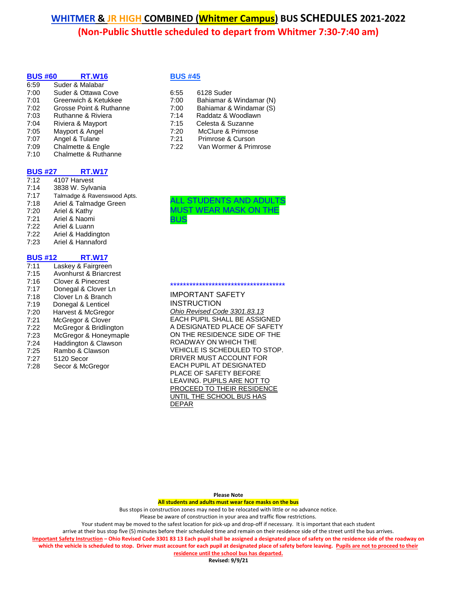| <b>BUS #60</b> | <b>RT.W16</b>           |
|----------------|-------------------------|
| 6:59           | Suder & Malabar         |
| 7:00           | Suder & Ottawa Cove     |
| 7:01           | Greenwich & Ketukkee    |
| 7:02           | Grosse Point & Ruthanne |
| 7:03           | Ruthanne & Riviera      |
| 7:04           | Riviera & Mayport       |
| 7:05           | Mayport & Angel         |
| 7:07           | Angel & Tulane          |
| 7:09           | Chalmette & Engle       |
| 7:10           | Chalmette & Ruthanne    |
|                |                         |

# **BUS #27 RT.W17**<br>7:12 **4107 Harvest**

4107 Harvest 7:14 3838 W. Sylvania 7:17 Talmadge & Ravenswood Apts. 7:18 Ariel & Talmadge Green 7:20 Ariel & Kathy 7:21 Ariel & Naomi 7:22 Ariel & Luann 7:22 Ariel & Haddington 7:23 Ariel & Hannaford

## **BUS #12 RT.W17**

| 7:11 | Laskey & Fairgreen     |
|------|------------------------|
| 7:15 | Avonhurst & Briarcrest |
| 7:16 | Clover & Pinecrest     |
| 7:17 | Donegal & Clover Ln    |
| 7:18 | Clover Ln & Branch     |
| 7:19 | Donegal & Lenticel     |
| 7:20 | Harvest & McGregor     |
| 7:21 | McGregor & Clover      |
| 7:22 | McGregor & Bridlington |
| 7:23 | McGregor & Honeymaple  |
| 7:24 | Haddington & Clawson   |
| 7:25 | Rambo & Clawson        |
| 7:27 | 5120 Secor             |
| 7:28 | Secor & McGregor       |
|      |                        |

## **BUS #45**

| 6:55 | 6128 Suder              |
|------|-------------------------|
| 7:00 | Bahiamar & Windamar (N) |
| 7:00 | Bahiamar & Windamar (S) |
| 7:14 | Raddatz & Woodlawn      |
| 7:15 | Celesta & Suzanne       |
| 7:20 | McClure & Primrose      |
| 7:21 | Primrose & Curson       |
| 7:22 | Van Wormer & Primrose   |



#### IMPORTANT SAFETY **INSTRUCTION** *Ohio Revised Code 3301.83.13* EACH PUPIL SHALL BE ASSIGNED A DESIGNATED PLACE OF SAFETY ON THE RESIDENCE SIDE OF THE ROADWAY ON WHICH THE VEHICLE IS SCHEDULED TO STOP. DRIVER MUST ACCOUNT FOR EACH PUPIL AT DESIGNATED PLACE OF SAFETY BEFORE LEAVING. PUPILS ARE NOT TO PROCEED TO THEIR RESIDENCE UNTIL THE SCHOOL BUS HAS DEPAR

\*\*\*\*\*\*\*\*\*\*\*\*\*\*\*\*\*\*\*\*\*\*\*\*\*\*\*\*\*\*\*\*\*\*\*\*

**Please Note**

**All students and adults must wear face masks on the bus**

Bus stops in construction zones may need to be relocated with little or no advance notice.

Please be aware of construction in your area and traffic flow restrictions.

Your student may be moved to the safest location for pick-up and drop-off if necessary. It is important that each student

arrive at their bus stop five (5) minutes before their scheduled time and remain on their residence side of the street until the bus arrives.

**Important Safety Instruction – Ohio Revised Code 3301 83 13 Each pupil shall be assigned a designated place of safety on the residence side of the roadway on which the vehicle is scheduled to stop. Driver must account for each pupil at designated place of safety before leaving. Pupils are not to proceed to their residence until the school bus has departed.**

**Revised: 9/9/21**